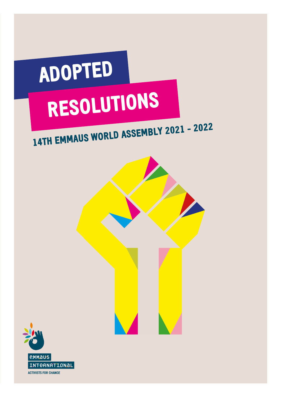

## 14TH EMMAUS WORLD ASSEMBLY <sup>2021</sup> - <sup>2022</sup>



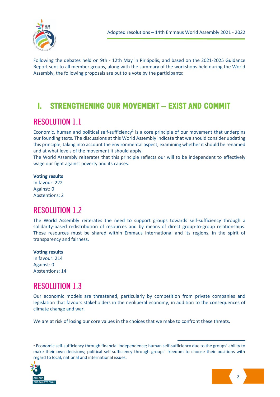

Following the debates held on 9th - 12th May in Piriápolis, and based on the 2021-2025 Guidance Report sent to all member groups, along with the summary of the workshops held during the World Assembly, the following proposals are put to a vote by the participants:

## I. STRENGTHENING OUR MOVEMENT – EXIST AND COMMIT

## **RESOLUTION 1.1**

Economic, human and political self-sufficiency<sup>1</sup> is a core principle of our movement that underpins our founding texts. The discussions at this World Assembly indicate that we should consider updating this principle, taking into account the environmental aspect, examining whether it should be renamed and at what levels of the movement it should apply.

The World Assembly reiterates that this principle reflects our will to be independent to effectively wage our fight against poverty and its causes.

#### **Voting results**

In favour: 222 Against: 0 Abstentions: 2

## **RESOLUTION 1.2**

The World Assembly reiterates the need to support groups towards self-sufficiency through a solidarity-based redistribution of resources and by means of direct group-to-group relationships. These resources must be shared within Emmaus International and its regions, in the spirit of transparency and fairness.

#### **Voting results**

In favour: 214 Against: 0 Abstentions: 14

### **RESOLUTION 1.3**

Our economic models are threatened, particularly by competition from private companies and legislation that favours stakeholders in the neoliberal economy, in addition to the consequences of climate change and war.

We are at risk of losing our core values in the choices that we make to confront these threats.

<sup>1</sup> Economic self-sufficiency through financial independence; human self-sufficiency due to the groups' ability to make their own decisions; political self-sufficiency through groups' freedom to choose their positions with regard to local, national and international issues.



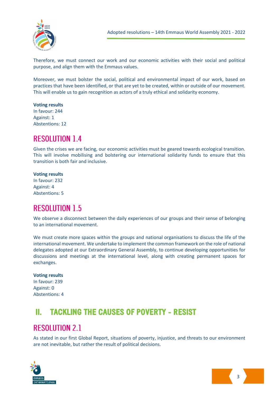

Therefore, we must connect our work and our economic activities with their social and political purpose, and align them with the Emmaus values.

Moreover, we must bolster the social, political and environmental impact of our work, based on practices that have been identified, or that are yet to be created, within or outside of our movement. This will enable us to gain recognition as actors of a truly ethical and solidarity economy.

#### **Voting results**

In favour: 244 Against: 1 Abstentions: 12

## **RESOLUTION 1.4**

Given the crises we are facing, our economic activities must be geared towards ecological transition. This will involve mobilising and bolstering our international solidarity funds to ensure that this transition is both fair and inclusive.

#### **Voting results**

In favour: 232 Against: 4 Abstentions: 5

#### **RESOLUTION 1.5**

We observe a disconnect between the daily experiences of our groups and their sense of belonging to an international movement.

We must create more spaces within the groups and national organisations to discuss the life of the international movement. We undertake to implement the common framework on the role of national delegates adopted at our Extraordinary General Assembly, to continue developing opportunities for discussions and meetings at the international level, along with creating permanent spaces for exchanges.

#### **Voting results**

In favour: 239 Against: 0 Abstentions: 4

## II. TACKLING THE CAUSES OF POVERTY - RESIST

#### **RESOLUTION 2.1**

As stated in our first Global Report, situations of poverty, injustice, and threats to our environment are not inevitable, but rather the result of political decisions.



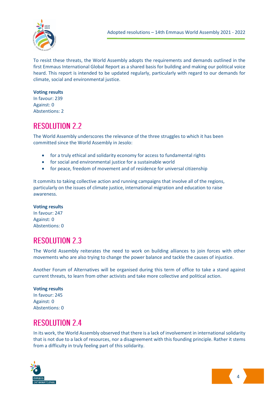

To resist these threats, the World Assembly adopts the requirements and demands outlined in the first Emmaus International Global Report as a shared basis for building and making our political voice heard. This report is intended to be updated regularly, particularly with regard to our demands for climate, social and environmental justice.

#### **Voting results**

In favour: 239 Against: 0 Abstentions: 2

### **RESOLUTION 2.2**

The World Assembly underscores the relevance of the three struggles to which it has been committed since the World Assembly in Jesolo:

- for a truly ethical and solidarity economy for access to fundamental rights
- for social and environmental justice for a sustainable world
- for peace, freedom of movement and of residence for universal citizenship

It commits to taking collective action and running campaigns that involve all of the regions, particularly on the issues of climate justice, international migration and education to raise awareness.

#### **Voting results**

In favour: 247 Against: 0 Abstentions: 0

### **RESOLUTION 2.3**

The World Assembly reiterates the need to work on building alliances to join forces with other movements who are also trying to change the power balance and tackle the causes of injustice.

Another Forum of Alternatives will be organised during this term of office to take a stand against current threats, to learn from other activists and take more collective and political action.

#### **Voting results**

In favour: 245 Against: 0 Abstentions: 0

#### **RESOLUTION 24**

In its work, the World Assembly observed that there is a lack of involvement in international solidarity that is not due to a lack of resources, nor a disagreement with this founding principle. Rather it stems from a difficulty in truly feeling part of this solidarity.



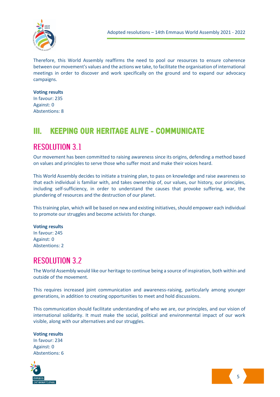

Therefore, this World Assembly reaffirms the need to pool our resources to ensure coherence between our movement's values and the actions we take, to facilitate the organisation of international meetings in order to discover and work specifically on the ground and to expand our advocacy campaigns.

#### **Voting results**

In favour: 235 Against: 0 Abstentions: 8

## III. KEEPING OUR HERITAGE ALIVE - COMMUNICATE

## **RESOLUTION 3.1**

Our movement has been committed to raising awareness since its origins, defending a method based on values and principles to serve those who suffer most and make their voices heard.

This World Assembly decides to initiate a training plan, to pass on knowledge and raise awareness so that each individual is familiar with, and takes ownership of, our values, our history, our principles, including self-sufficiency, in order to understand the causes that provoke suffering, war, the plundering of resources and the destruction of our planet.

This training plan, which will be based on new and existing initiatives, should empower each individual to promote our struggles and become activists for change.

#### **Voting results**

In favour: 245 Against: 0 Abstentions: 2

### **RESOLUTION 3.2**

The World Assembly would like our heritage to continue being a source of inspiration, both within and outside of the movement.

This requires increased joint communication and awareness-raising, particularly among younger generations, in addition to creating opportunities to meet and hold discussions.

This communication should facilitate understanding of who we are, our principles, and our vision of international solidarity. It must make the social, political and environmental impact of our work visible, along with our alternatives and our struggles.

**Voting results** In favour: 234 Against: 0 Abstentions: 6